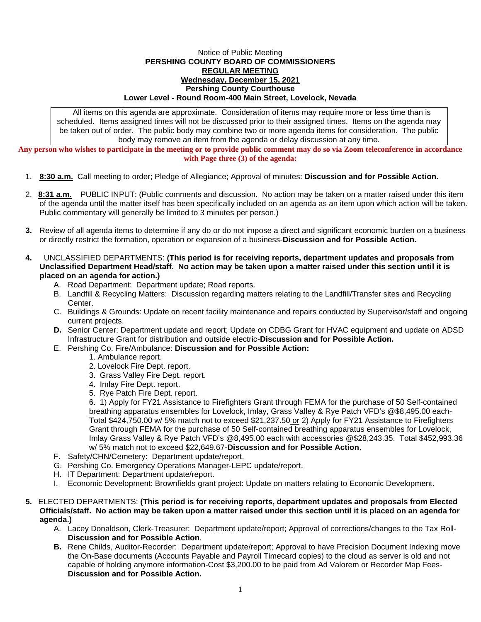## Notice of Public Meeting **PERSHING COUNTY BOARD OF COMMISSIONERS REGULAR MEETING Wednesday, December 15, 2021 Pershing County Courthouse Lower Level - Round Room-400 Main Street, Lovelock, Nevada**

All items on this agenda are approximate. Consideration of items may require more or less time than is scheduled. Items assigned times will not be discussed prior to their assigned times. Items on the agenda may be taken out of order. The public body may combine two or more agenda items for consideration. The public body may remove an item from the agenda or delay discussion at any time.

**Any person who wishes to participate in the meeting or to provide public comment may do so via Zoom teleconference in accordance with Page three (3) of the agenda:**

- 1. **8:30 a.m.** Call meeting to order; Pledge of Allegiance; Approval of minutes: **Discussion and for Possible Action.**
- 2. **8:31 a.m.** PUBLIC INPUT: (Public comments and discussion. No action may be taken on a matter raised under this item of the agenda until the matter itself has been specifically included on an agenda as an item upon which action will be taken. Public commentary will generally be limited to 3 minutes per person.)
- **3.** Review of all agenda items to determine if any do or do not impose a direct and significant economic burden on a business or directly restrict the formation, operation or expansion of a business-**Discussion and for Possible Action.**
- **4.** UNCLASSIFIED DEPARTMENTS: **(This period is for receiving reports, department updates and proposals from Unclassified Department Head/staff. No action may be taken upon a matter raised under this section until it is placed on an agenda for action.)**
	- A. Road Department: Department update; Road reports.
	- B. Landfill & Recycling Matters: Discussion regarding matters relating to the Landfill/Transfer sites and Recycling Center.
	- C. Buildings & Grounds: Update on recent facility maintenance and repairs conducted by Supervisor/staff and ongoing current projects.
	- **D.** Senior Center: Department update and report; Update on CDBG Grant for HVAC equipment and update on ADSD Infrastructure Grant for distribution and outside electric-**Discussion and for Possible Action.**
	- E. Pershing Co. Fire/Ambulance: **Discussion and for Possible Action:**
		- 1. Ambulance report.
		- 2. Lovelock Fire Dept. report.
		- 3. Grass Valley Fire Dept. report.
		- 4. Imlay Fire Dept. report.
		- 5. Rye Patch Fire Dept. report.

6. 1) Apply for FY21 Assistance to Firefighters Grant through FEMA for the purchase of 50 Self-contained breathing apparatus ensembles for Lovelock, Imlay, Grass Valley & Rye Patch VFD's @\$8,495.00 each-Total \$424,750.00 w/ 5% match not to exceed \$21,237.50 or 2) Apply for FY21 Assistance to Firefighters Grant through FEMA for the purchase of 50 Self-contained breathing apparatus ensembles for Lovelock, Imlay Grass Valley & Rye Patch VFD's @8,495.00 each with accessories @\$28,243.35. Total \$452,993.36 w/ 5% match not to exceed \$22,649.67-**Discussion and for Possible Action**.

- F. Safety/CHN/Cemetery: Department update/report.
- G. Pershing Co. Emergency Operations Manager-LEPC update/report.
- H. IT Department: Department update/report.
- I. Economic Development: Brownfields grant project: Update on matters relating to Economic Development.

## **5.** ELECTED DEPARTMENTS: **(This period is for receiving reports, department updates and proposals from Elected Officials/staff. No action may be taken upon a matter raised under this section until it is placed on an agenda for agenda.)**

- A. Lacey Donaldson, Clerk-Treasurer: Department update/report; Approval of corrections/changes to the Tax Roll-**Discussion and for Possible Action**.
- **B.** Rene Childs, Auditor-Recorder: Department update/report; Approval to have Precision Document Indexing move the On-Base documents (Accounts Payable and Payroll Timecard copies) to the cloud as server is old and not capable of holding anymore information-Cost \$3,200.00 to be paid from Ad Valorem or Recorder Map Fees-**Discussion and for Possible Action.**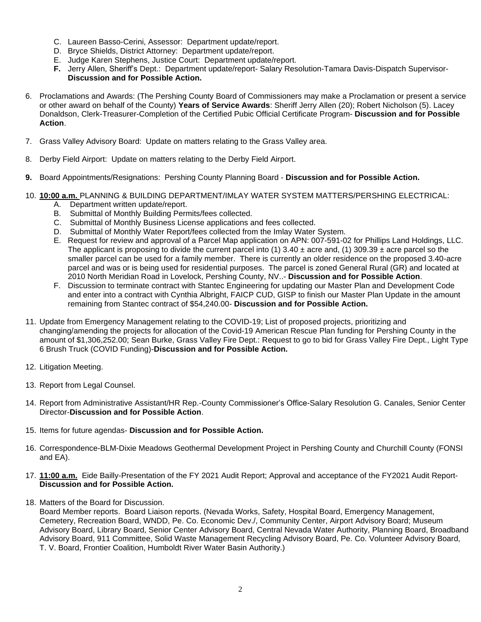- C. Laureen Basso-Cerini, Assessor: Department update/report.
- D. Bryce Shields, District Attorney: Department update/report.
- E. Judge Karen Stephens, Justice Court: Department update/report.
- **F.** Jerry Allen, Sheriff's Dept.: Department update/report- Salary Resolution-Tamara Davis-Dispatch Supervisor-**Discussion and for Possible Action.**
- 6. Proclamations and Awards: (The Pershing County Board of Commissioners may make a Proclamation or present a service or other award on behalf of the County) **Years of Service Awards**: Sheriff Jerry Allen (20); Robert Nicholson (5). Lacey Donaldson, Clerk-Treasurer-Completion of the Certified Pubic Official Certificate Program- **Discussion and for Possible Action**.
- 7. Grass Valley Advisory Board: Update on matters relating to the Grass Valley area.
- 8. Derby Field Airport: Update on matters relating to the Derby Field Airport.
- **9.** Board Appointments/Resignations: Pershing County Planning Board **Discussion and for Possible Action.**
- 10. **10:00 a.m.** PLANNING & BUILDING DEPARTMENT/IMLAY WATER SYSTEM MATTERS/PERSHING ELECTRICAL:
	- A. Department written update/report.
	- B. Submittal of Monthly Building Permits/fees collected.
	- C. Submittal of Monthly Business License applications and fees collected.
	- D. Submittal of Monthly Water Report/fees collected from the Imlay Water System.
	- E. Request for review and approval of a Parcel Map application on APN: 007-591-02 for Phillips Land Holdings, LLC. The applicant is proposing to divide the current parcel into (1)  $3.40 \pm$  acre and, (1)  $309.39 \pm$  acre parcel so the smaller parcel can be used for a family member. There is currently an older residence on the proposed 3.40-acre parcel and was or is being used for residential purposes. The parcel is zoned General Rural (GR) and located at 2010 North Meridian Road in Lovelock, Pershing County, NV..- **Discussion and for Possible Action**.
	- F. Discussion to terminate contract with Stantec Engineering for updating our Master Plan and Development Code and enter into a contract with Cynthia Albright, FAICP CUD, GISP to finish our Master Plan Update in the amount remaining from Stantec contract of \$54,240.00- **Discussion and for Possible Action.**
- 11. Update from Emergency Management relating to the COVID-19; List of proposed projects, prioritizing and changing/amending the projects for allocation of the Covid-19 American Rescue Plan funding for Pershing County in the amount of \$1,306,252.00; Sean Burke, Grass Valley Fire Dept.: Request to go to bid for Grass Valley Fire Dept., Light Type 6 Brush Truck (COVID Funding)-**Discussion and for Possible Action.**
- 12. Litigation Meeting.
- 13. Report from Legal Counsel.
- 14. Report from Administrative Assistant/HR Rep.-County Commissioner's Office-Salary Resolution G. Canales, Senior Center Director-**Discussion and for Possible Action**.
- 15. Items for future agendas- **Discussion and for Possible Action.**
- 16. Correspondence-BLM-Dixie Meadows Geothermal Development Project in Pershing County and Churchill County (FONSI and EA).
- 17. **11:00 a.m.** Eide Bailly-Presentation of the FY 2021 Audit Report; Approval and acceptance of the FY2021 Audit Report-**Discussion and for Possible Action.**
- 18. Matters of the Board for Discussion.

Board Member reports. Board Liaison reports. (Nevada Works, Safety, Hospital Board, Emergency Management, Cemetery, Recreation Board, WNDD, Pe. Co. Economic Dev./, Community Center, Airport Advisory Board; Museum Advisory Board, Library Board, Senior Center Advisory Board, Central Nevada Water Authority, Planning Board, Broadband Advisory Board, 911 Committee, Solid Waste Management Recycling Advisory Board, Pe. Co. Volunteer Advisory Board, T. V. Board, Frontier Coalition, Humboldt River Water Basin Authority.)